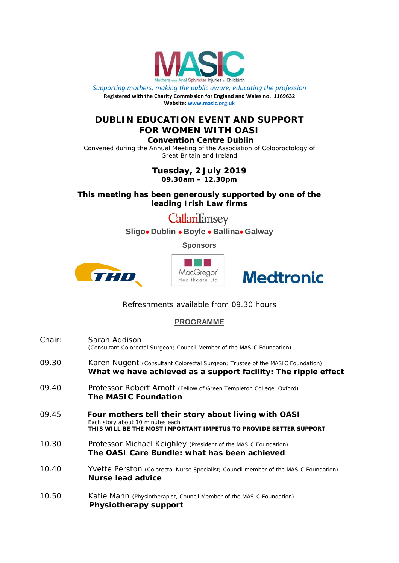

*Supporting mothers, making the public aware, educating the profession* **Registered with the Charity Commission for England and Wales no. 1169632 Website[: www.masic.org.uk](http://www.masic.org.uk/)**

## **DUBLIN EDUCATION EVENT AND SUPPORT FOR WOMEN WITH OASI**

**Convention Centre Dublin**

Convened during the Annual Meeting of the Association of Coloproctology of Great Britain and Ireland

> **Tuesday, 2 July 2019 09.30am – 12.30pm**

**This meeting has been generously supported by one of the leading Irish Law firms**

CallanTansey

**Sligo Dublin Boyle Ballina Galway**

**Sponsors**







Refreshments available from 09.30 hours

## **PROGRAMME**

| Chair: | Sarah Addison<br>(Consultant Colorectal Surgeon; Council Member of the MASIC Foundation)                                                                      |
|--------|---------------------------------------------------------------------------------------------------------------------------------------------------------------|
| 09.30  | Karen Nugent (Consultant Colorectal Surgeon; Trustee of the MASIC Foundation)<br>What we have achieved as a support facility: The ripple effect               |
| 09.40  | Professor Robert Arnott (Fellow of Green Templeton College, Oxford)<br><b>The MASIC Foundation</b>                                                            |
| 09.45  | Four mothers tell their story about living with OASI<br>Each story about 10 minutes each<br>THIS WILL BE THE MOST IMPORTANT IMPETUS TO PROVIDE BETTER SUPPORT |
| 10.30  | Professor Michael Keighley (President of the MASIC Foundation)<br>The OASI Care Bundle: what has been achieved                                                |
| 10.40  | Yvette Perston (Colorectal Nurse Specialist; Council member of the MASIC Foundation)<br><b>Nurse lead advice</b>                                              |
| 10.50  | Katie Mann (Physiotherapist, Council Member of the MASIC Foundation)<br>Physiotherapy support                                                                 |